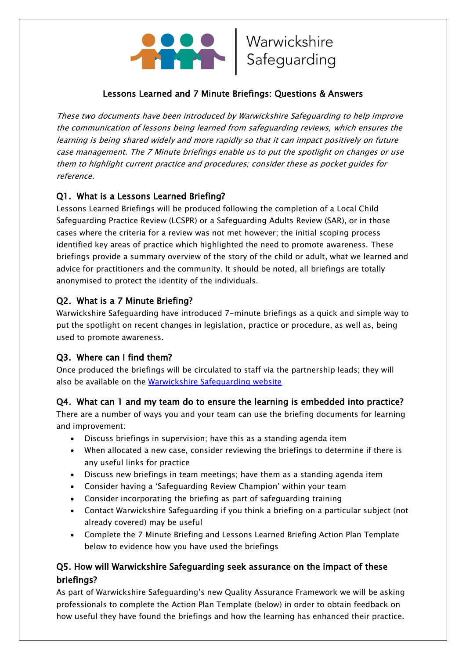

#### Lessons Learned and 7 Minute Briefings: Questions & Answers

These two documents have been introduced by Warwickshire Safeguarding to help improve the communication of lessons being learned from safeguarding reviews, which ensures the learning is being shared widely and more rapidly so that it can impact positively on future case management. The 7 Minute briefings enable us to put the spotlight on changes or use them to highlight current practice and procedures; consider these as pocket guides for reference.

## Q1. What is a Lessons Learned Briefing?

Lessons Learned Briefings will be produced following the completion of a Local Child Safeguarding Practice Review (LCSPR) or a Safeguarding Adults Review (SAR), or in those cases where the criteria for a review was not met however; the initial scoping process identified key areas of practice which highlighted the need to promote awareness. These briefings provide a summary overview of the story of the child or adult, what we learned and advice for practitioners and the community. It should be noted, all briefings are totally anonymised to protect the identity of the individuals.

### Q2. What is a 7 Minute Briefing?

Warwickshire Safeguarding have introduced 7-minute briefings as a quick and simple way to put the spotlight on recent changes in legislation, practice or procedure, as well as, being used to promote awareness.

### Q3. Where can I find them?

Once produced the briefings will be circulated to staff via the partnership leads; they will also be available on the [Warwickshire Safeguarding website](https://www.safeguardingwarwickshire.co.uk/lessons-learnt-briefings)

### Q4. What can 1 and my team do to ensure the learning is embedded into practice?

There are a number of ways you and your team can use the briefing documents for learning and improvement:

- Discuss briefings in supervision; have this as a standing agenda item
- When allocated a new case, consider reviewing the briefings to determine if there is any useful links for practice
- Discuss new briefings in team meetings; have them as a standing agenda item
- Consider having a 'Safeguarding Review Champion' within your team
- Consider incorporating the briefing as part of safeguarding training
- Contact Warwickshire Safeguarding if you think a briefing on a particular subject (not already covered) may be useful
- Complete the 7 Minute Briefing and Lessons Learned Briefing Action Plan Template below to evidence how you have used the briefings

### Q5. How will Warwickshire Safeguarding seek assurance on the impact of these briefings?

As part of Warwickshire Safeguarding's new Quality Assurance Framework we will be asking professionals to complete the Action Plan Template (below) in order to obtain feedback on how useful they have found the briefings and how the learning has enhanced their practice.